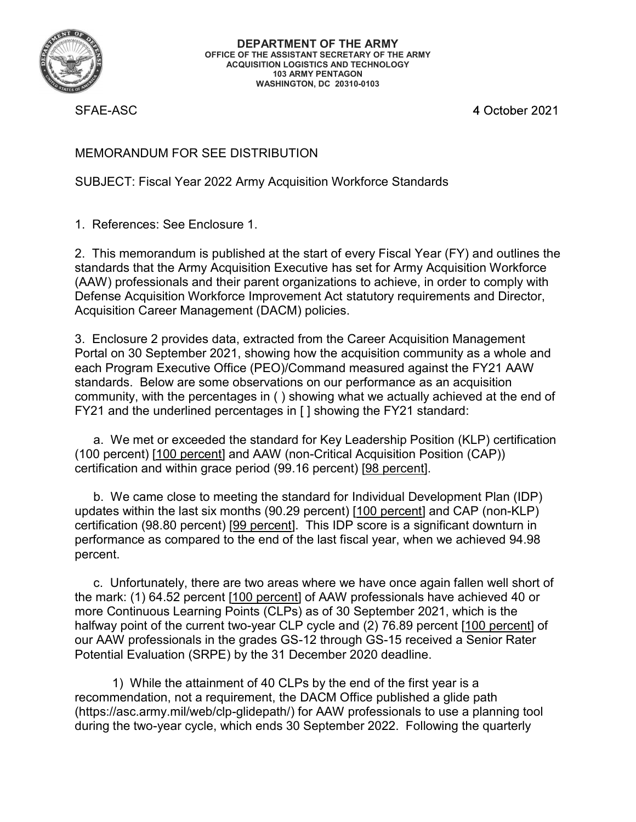

SFAE-ASC

DEPARTMENT OF THE ARMY<br>
OFFICE OF THE ASSISTANT SECRETARY OF THE ARMY<br>
ACQUISITION LOGISTICS AND TECHNOLOGY<br>
103 ARMY PENTAGON<br>
103 ARMY PENTAGON<br>
103 ARMY PENTAGON<br>
103 ARMY PENTAGON<br>
1. REFERENC<br>
MEMORANDUM FOR SEE DISTR DEPARTMENT OF THE ARMY<br>
OFFICE OF THE ASSITANT SECRETARY OF THE ARMY<br>
ACQUISITION AGAINGTON, DC 2010-0103<br>
WASHINGTON, DC 2010-0103<br>
SFAE-ASC<br>
4 October 2021<br>
MEMORANDUM FOR SEE DISTRIBUTION<br>
SUBJECT: Fiscal Year 2022 Army standards that the Army Acquisition Executive has set for Army Acquisition Workforce (ACC)<br>
(ACC) DEPARTMENT OF THE ARMY<br>
(ACCULISTING) LOGISTICS AND TECHNOLOGY<br>
(ACCULISTING) AND TEVERATION<br>
(ACCULISTING)<br>
(ASSEMBLICT: Fiscal Year 2022 Army Acquisition Workforce Standards<br>
1. References: See Enclosure 1.<br> DEPARTMENT OF THE ARMY<br>
OFFICE OF THE ASISTAM'S ECREMENT OF THE ARMY<br>
(THE ARMY PENTAGON<br>
(THE ACCUISE AND TECHNOLOGY<br>
STAE-ASC<br>
SFAE-ASC<br>
SFAE-ASC<br>
ACCUISITION<br>
SUBJECT: Fiscal Year 2022 Army Acquisition Workforce Standar THE ARMY<br>
SERIGION THE ARMY THE ARMY<br>
THE ARMY CONDITION<br>
THE ARMY CONDITION<br>
THE ARMY PENTAGON<br>
THE ARMY PENTAGON<br>
THE ARMY PENTAGON<br>
THE ARMY PORT CONDITION<br>
SERIGION OF SEE DISTRIBUTION<br>
SUBJECT: Fiscal Year 2022 Army A

33. ARMY PENTAGON<br>
33. ARMY PENTAGON<br>
33. ARMY PENTAGON<br>
33. ENCLOSE 2021<br>
34. ENCLOSE 2022<br>
34. CHIS memorardum is published at the start of every Fiscal Year (FY) and outlines the<br>
31. References: See Enclosure 1.<br>
31. R MASHIMSTON, DC 20340-4163<br>
SFAE-ASC<br>
4 October 2021<br>
NEMORANDUM FOR SEE DISTRIBUTION<br>
SUBJECT: Fiscal Year 2022 Army Acquisition Workforce Standards<br>
1. References: See Enclosure 1.<br>
2. This memorandum is published at the 4 October 2021<br>
MEMORANDUM FOR SEE DISTRIBUTION<br>
SUBJECT: Fiscal Year 2022 Army Acquisition Workforce Standards<br>
1. References: See Enclosure 1.<br>
2. This memorandum is published at the start of every Fiscal Year (FY) and o standards. Below are some observations on our performance as an acquisition MEMORANDUM FOR SEE DISTRIBUTION<br>SUBJECT: Fiscal Year 2022 Army Acquisition Workforce Standards<br>1. References: See Enclosure 1.<br>2. This memorandum is published at the start of every Fiscal Year (FY) and outlines the<br>standar MEMORANDUM FOR SEE DISTRIBUTION<br>
SUBJECT: Fiscal Year 2022 Army Acquisition Workforce Standards<br>
1. References: See Enclosure 1.<br>
2. This memorandum is published at the start of every Fiscal Year (FY) and outlines the<br>
sta BJECT: Fiscal Year 2022 Army Acquisition Workforce Standards<br>References: See Enclosure 1.<br>This memorandum is published at the start of every Fiscal Year (FY) and outlines the<br>dords that the Army Acquisition Executive has s (1) 1) 1) 1) 1) 1) 1) 100 percent) (100 percent) [100 percent] Acquisition (UP)<br>
2. This memorandum is published at the start of every Fiscal Year (FY) and outlines the<br>
standards that the Army Acquisition Executive has se 1. References: See Enclosure 1.<br>
2. This memorandum is published at the start of every Fiscal Year (FY) and outlines the<br>
standarist that Army Acquisition Workforce<br>
(AAW) professionals and their parent organizations to ac This memandum is published at the start of every Fiscal Year (FY) and outlines the This memoratum is published at the start of every Fiscal Year (FY) and outlines the diadred matamic spontation Morkforce (My) professionals 2. This memorandum is published at the start of every Fiscal Year (FY) and outlines the standards that the Army Acquisition Workforce in orangivation Workforce (in orangivation Workforce (in Army Acquisition Workforce Inpr c. This mellion and their particle atter the sait of every is scar is en it in yard outlies standards that the Army Acquisition Executive has set for Army Acquisition Workforce (AAW) professionals and their parent organiza stantial is inter Army Acquisition Lexicute Tas set for Army Acquisition travitations and their parent organizations to achieve, in order to comply with<br>Defense Acquisition Workforce Improvement Act statutory requirements Enclosure care interagement (DACMi) pointes.<br>
Enclosure 2 provides data, extracted from the Career Acquisition Community as a whole and<br>
that on 30 September 2021, showing how the acquisition community as a whole and<br>
Arch

percent.

3. Enclosure 2 provides data, extracted from the Career Acquisition Management<br>
Portal on 30 September 2021, showing have the acquisition community as a whole and<br>
each Program Executive Office (PEO)/Command measured again more Continuous Learning Points (CLPs) as of 30 September 2021, which is the Facture of the method of the method of the method of the current of the current of the current of the current of the current of the current of the current of the current of the current of the current of the current of the essar i registrince the term of the professional measure of the first periodic standards. Below are some observations on our performance as an acquisition community, with the percentages in () showing what we actually achi standards. Determinity, with the precentation of the protinct are an exceptance and the profile protince and the underlined percentages in () showing what we actually achieved at the end of FY21 and the underlined percenta Ind are undenined percentages in [] showing the 1121 standard.<br>We met or exceeded the standard for Key Leadership Position (KLP) certification<br>arcent) [100 percent] and AAW (non-Critical Acquisition Position (CAP))<br>ation a at we met considered a samily of the consideration Post diversion (CAP)<br>(100 percent) [100 percent] and AAW (non-Critical Acquisition Position (CAP))<br>certification and within grace period (99.16 percent) [9<u>8 percent]</u>.<br>b.

recommendation, not a requirement, the DACM Office published a glide path during the two-year cycle, which ends 30 September 2022. Following the quarterly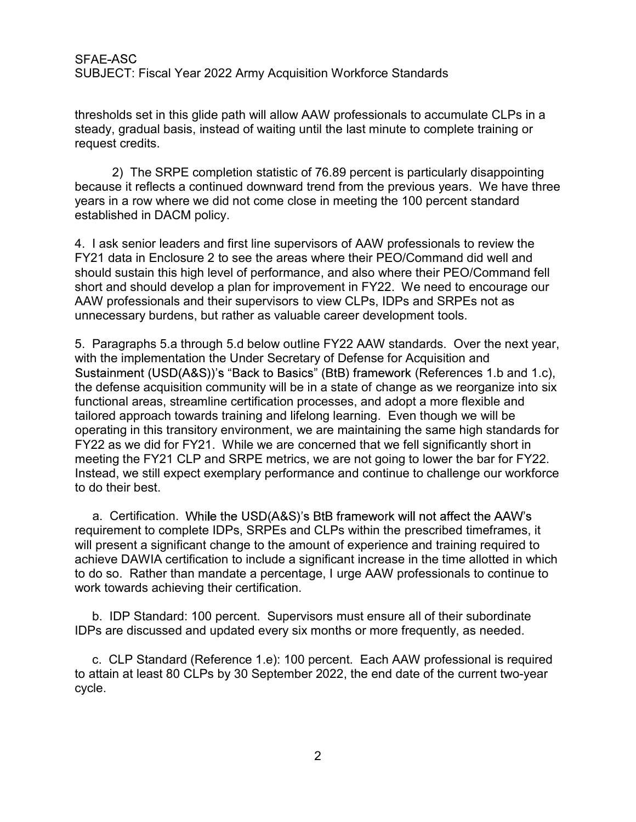SFAE-ASC<br>SUBJECT: Fiscal Year 2022 Army Acquisition Workforce Standards<br>thresholds set in this glide path will allow AAW professionals to accumulate CLPs in a<br>steady, gradual basis, instead of waiting until the last minute SFAE-ASC<br>SUBJECT: Fiscal Year 2022 Army Acquisition Workforce Standards<br>thresholds set in this glide path will allow AAW professionals to accumulate CLPs in a<br>steady, gradual basis, instead of waiting until the last minute SFAE-ASC<br>SUBJECT: Fiscal Year 2022 Army Acquisition Workforce Standards<br>thresholds set in this glide path will allow AAW professionals to accumulate CLPs in a<br>steady, gradual basis, instead of waiting until the last minute

SFAE-ASC<br>SUBJECT: Fiscal Year 2022 Army Acquisition Workforce Standards<br>thresholds set in this glide path will allow AAW professionals to accum<br>steady, gradual basis, instead of waiting until the last minute to comple<br>requ 2) The SRPE completion statistic of 76.89 percent is particularly disappointing the SRPE completion statistic of 76.89 percent is particularly disappointing to tredits.<br>2) The SRPE completion statistic of 76.89 percent is SFAE-ASC<br>SUBJECT: Fiscal Year 2022 Army Acquisition Workforce Standards<br>thresholds set in this glide path will allow AAW professionals to accumulate CLPs in a<br>steady, gradual basis, instead of waiting until the last minute SFAE-ASC<br>SUBJECT: Fiscal Year 2022 Army Acquisition Workforce Standards<br>thresholds set in this glide path will allow AAW professionals to accumulate CLPs in a<br>steady, gradual basis, instead of waiting until the last minute SFAE-ASC<br>SUBJECT: Fiscal Year 2022 Army Acquisition Workforce Standards<br>thresholds set in this glide path will allow AAW professionals to accumulate CLPs in<br>steady, gradual basis, instead of waiting until the last minute t

SFAE-ASC<br>SUBJECT: Fiscal Year 2022 Army Acquisition Workforce Standards<br>thresholds set in this glide path will allow AAW professionals to accumulate CLPs in a<br>steady, gradual basis, instead of waiting until the last minute SFAE-ASC<br>SUBJECT: Fiscal Year 2022 Army Acquisition Workforce Standards<br>thresholds set in this glide path will allow AAW professionals to accumulate CLPs in a<br>steady, gradual basis, instead of waiting until the last minute should sustain this high level of performance, and also where their PEO/Command fell SFAE-ASC<br>SUBJECT: Fiscal Year 2022 Army Acquisition Workforce Standards<br>thresholds set in this glide path will allow AAW professionals to accumulate CLPs in a<br>steady, gradual basis, instead of waiting until the last minute SFAE-ASC<br>
SUBJECT: Fiscal Year 2022 Army Acquisition Workforce Standards<br>
thresholds set in this glide path will allow AAW professionals to accumulate CLPs in a<br>
steady, gradual basis, instead of waiting until the last min unnecessary burdens, but rather as valuable career development tools. SUBJECT: FISCALTERT 2022 AITIIN ACQuisition WOTKNOTCE Standards<br>
thresholds set in this glide path will allow AAW professionals to accumulate CLPs in a<br>
steady, gradual basis, instead of waiting until the last minute to co

with the implementation the Under Secretary of Defense for Acquisition and Sustainment (USD(A&S))'s "Back to Basics" (BtB) framework (References 1.b and 1.c), of the defense accuration to the between the state of the standard excellisting or<br>steady, gradual basis, instead of watting until the last minute to complete training or<br>request credits.<br>2) The SRPE completion statistic o functional areas, streamline certification processes, and adopt a more flexible and equest coetas.<br>
2) The SRPE completion statistic of 76.89 percent is particularly disappointing<br>
2) The SRPE completion downward trend from the previous years. We have three<br>
years in a row where we did not come close in m 2) The SRPE completion statistic of 76.89 percent is particularly disappointing<br>because it reflects a continued downward trend from the previous years. We have three<br>years in a row where we did not come close in meeting th 2 The sort completed in DACM protects and the present is particularly used the fellects a continued downward trend from the previous years. We have three pears in a row where we did not come close in meeting the 100 percen because interious a community will be the community performance and contributed to the first the USD(A&S)'s BtB framework will not affect the AAW's control to their because we are such that in Encolour and the should susta years in a cow where we can interemplary and the propositional and the propositions of the propositions of the propositions and the shall shot and a should develop a plan for improvement in FY22. We need to encourage our s to do their best. r ass senior leaders and mist line supervistors of Active Diesembary and the senior designation and should sustain this high level of performance, and also where their PEO/Comma<br>uld sustain this high level of performance, show and show the implementation. While the USD(A&S)'s BtB framework will not ferce to encourage our white the implementation the ultricer secretary of Defense for Acquisition and the Sustainment (USD(A&S))'s "Back to Basi Now provessary burdens, but alther as valuable career development tools.<br>
S. Paragraphs 5.a through 5.d below outline FY22 AAW standards. Over the next year,<br>
with the implementation the Under Secretary of Defense for Acqu annecessary but also, the rate is vandable caleer development tools.<br>
5. Paragraphs 5.a through 5.d below outline FY22 AAW standards. Over the next yea<br>
Sustainment (USD(A&S))'s "Back to Basics" (BtB) framework (References a anyigip size through the Under Secretary of Defense for Acquisition and<br>the implementation the Under Secretary of Defense for Acquisition and<br>defense acquisition community will be in a state of change as we reorganize i derive acquisition community with the first as a set of claiming as we redigate find a<br>recipred approach towards training and lifelong learning. Even though we will be<br>order approach towards training and lifelong learning.

requirement to complete IDPs, SRPEs and CLPs within the prescribed timeframes, it will present a significant change to the amount of experience and training required to

IDPs are discussed and updated every six months or more frequently, as needed.

to attain at least 80 CLPs by 30 September 2022, the end date of the current two-year cycle.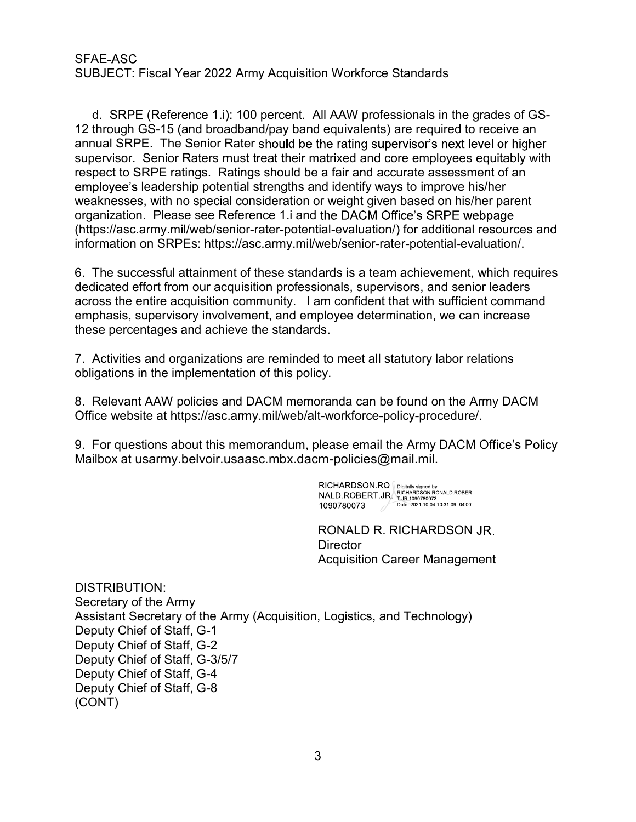# SFAF-ASC

SFAE-ASC<br>SUBJECT: Fiscal Year 2022 Army Acquisition Workforce Standards<br>d. SRPE (Reference 1.i): 100 percent. All AAW professionals in the grades of GS<br>12 through GS-15 (and broadband/pay band equivalents) are required to AE-ASC<br>BJECT: Fiscal Year 2022 Army Acquisition Workforce Standards<br>d. SRPE (Reference 1.i): 100 percent. All AAW professionals in the grades of GS-<br>through GS-15 (and broadband/pay band equivalents) are required to receiv SFAE-ASC<br>
SUBJECT: Fiscal Year 2022 Army Acquisition Workforce Standards<br>
d. SRPE (Reference 1.i): 100 percent. All AAW professionals in the grades of GS-<br>
12 through GS-15 (and broadband/pay band equivalents) are required SFAE-ASC<br>SUBJECT: Fiscal Year 2022 Army Acquisition Workforce Standards<br>d. SRPE (Reference 1.i): 100 percent. All AAW professionals in the grad<br>12 through GS-15 (and broadband/pay band equivalents) are required to rece<br>ann SFAE-ASC<br>SUBJECT: Fiscal Year 2022 Army Acquisition Workforce Standards<br>d. SRPE (Reference 1.i): 100 percent. All AAW professionals in the grades of GS-<br>12 through GS-15 (and broadband/pay band equivalents) are required to SFAE-ASC<br>SUBJECT: Fiscal Year 2022 Army Acquisition Workforce Standards<br>d. SRPE (Reference 1.i): 100 percent. All AAW professionals in the grades of GS-<br>12 through GS-15 (and broadband/pay band equivalents) are required to Fiscal Year 2022 Army Acquisition Workforce Standards<br>
: (Reference 1.i): 100 percent. All AAW professionals in the grades of GS-<br>
SS-15 (and broadband/pay band equivalents) are required to receive an<br>
E. The Senior Rater SFAE-ASC<br>
SUBJECT: Fiscal Year 2022 Army Acquisition Workforce Standards<br>
d. SRPE (Reference 1.i): 100 percent. All AAW professionals in the grades of GS-<br>
12 through GS-15 (and broadband/pay band equivalents) are required SFAE-ASC<br>
SUBJECT: Fiscal Year 2022 Army Acquisition Workforce Standards<br>
d. SRPE (Reference 1.i): 100 percent. All AAW professionals in the grades of GS-<br>
12 through GS-15 (and broadband/pay band equivalents) are required SFAE-ASC<br>
SUBJECT: Fiscal Year 2022 Army Acquisition Workforce Standards<br>
d. SRPE (Reference 1.i): 100 percent. All AAW professionals in the grades of GS-<br>
12 through GS-15 (and broadband/pay band equivalents) are required information on SRPEs: https://asc.army.mil/web/senior-rater-potential-evaluation/. SFAE-ASC<br>
SUBJECT: Fiscal Year 2022 Army Acquisition Workforce Standards<br>
d. SRPE (Reference 1.i): 100 percent. All AAW professionals in the grades of GS-<br>
12 through GS-15 (and broadband/pay band equivalents) are required d. SRPE (Reference 1.i): 100 percent. All AAW professionals in the grades of GS-<br>12 through GS-15 (and broadband/pay band equivalents) are required to receive an<br>annual SRPE. The Senior Rater should be the rating superviso The university of the material strength want equivalent and core emply be state the of higher and a SRPE. The Senior Rater should be the rating supervisor's next level or higher supervisor. Senior Raters must treat their m annua Ori C. The Demotricater should be the raining supervisor inext levert of migretized and order and accurate assessment of an supervisor. Senior Raters must treat their matrixed and order employees equitably with respe Fepect to Jivir Laungs. Tradings should be a rain and accurace assessment of any appearable memployee's leadership potential strengths and identify ways to improve his/her aready weaknesses, with no special consideration o

dedicated effort from our acquisition professionals, supervisors, and senior leaders across the entire acquisition community. I am confident that with sufficient command emphasis, supervisory involvement, and employee determination, we can increase these percentages and achieve the standards.

obligations in the implementation of this policy.

Mailbox at usarmy.belvoir.usaasc.mbx.dacm-policies@mail.mil.

RONALD R. RICHARDSON **Director** Acquisition Career Management

DISTRIBUTION: Secretary of the Army Assistant Secretary of the Army (Acquisition, Logistics, and Technology) Deputy Chief of Staff, G-1 Deputy Chief of Staff, G-2 Deputy Chief of Staff, G-3/5/7 Deputy Chief of Staff, G-4 Deputy Chief of Staff, G-8 (CONT)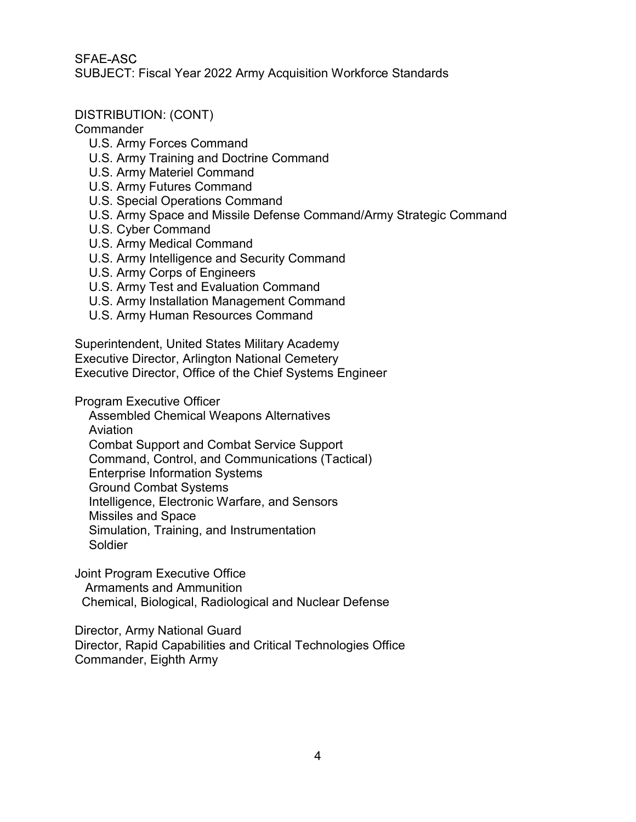SFAF-ASC SFAE-ASC<br>SUBJECT: Fiscal Year 2022 Army Acquisition Workforce Standards<br>DISTRIBUTION: (CONT)<br>Commander

### DISTRIBUTION: (CONT)

### Commander

- U.S. Army Forces Command
- U.S. Army Training and Doctrine Command
- U.S. Army Materiel Command
- U.S. Army Futures Command
- U.S. Special Operations Command
- U.S. Army Space and Missile Defense Command/Army Strategic Command
- U.S. Cyber Command
- U.S. Army Medical Command
- U.S. Army Intelligence and Security Command
- U.S. Army Corps of Engineers
- U.S. Army Test and Evaluation Command
- U.S. Army Installation Management Command
- U.S. Army Human Resources Command

Superintendent, United States Military Academy DISTRIBUTION: (CONT)<br>
Commander<br>
U.S. Army Training and Doctrine Command<br>
U.S. Army Training and Doctrine Command<br>
U.S. Special Operations Command<br>
U.S. Army Futures Command<br>
U.S. Army Space and Missile Defense Command/Arm Executive Director, Office of the Chief Systems Engineer

Program Executive Officer

Assembled Chemical Weapons Alternatives

Aviation

Combat Support and Combat Service Support

Command, Control, and Communications (Tactical)

Enterprise Information Systems

Ground Combat Systems

Intelligence, Electronic Warfare, and Sensors

Missiles and Space

Simulation, Training, and Instrumentation

Soldier

Joint Program Executive Office Armaments and Ammunition

uperintendent, United States Military Academy<br>
xecutive Director, Arlington National Cemetery<br>
xecutive Director, Office of the Chief Systems Engineer<br>
rogram Executive Officer<br>
Assembled Chemical Weapons Alternatives<br>
Avi Director, Army National Guard Director, Rapid Capabilities and Critical Technologies Office Commander, Eighth Army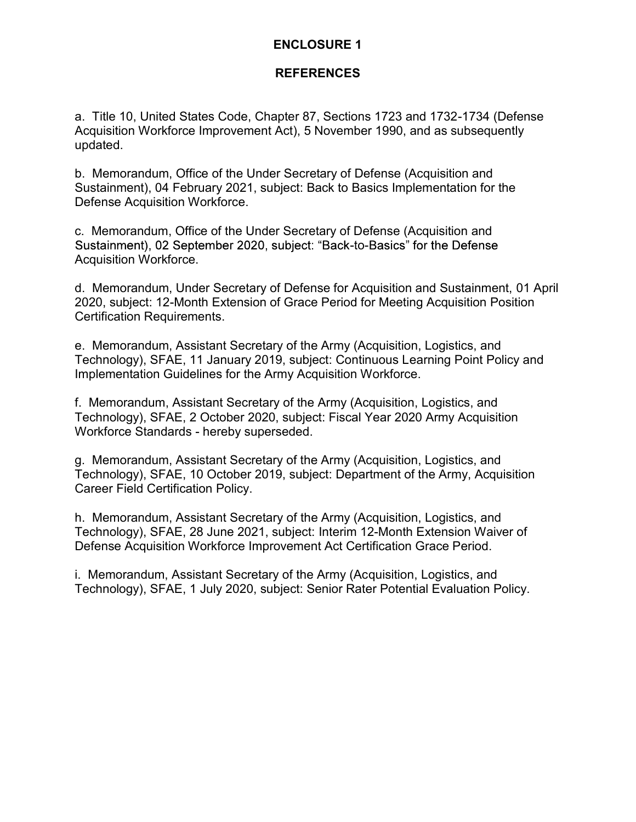# ENCLOSURE 1

### REFERENCES

**ENCLOSURE 1<br>REFERENCES**<br>a. Title 10, United States Code, Chapter 87, Sections 1723 and 1732-1734 (Defense<br>Acquisition Workforce Improvement Act), 5 November 1990, and as subsequently<br>updated.<br>b. Memorandum, Office of the Acquisition Workforce Improvement Act), 5 November 1990, and as subsequently updated. **ENCLOSURE 1**<br> **REFERENCES**<br> **a.** Title 10, United States Code, Chapter 87, Sections 1723 and 1732-1734 (Defense<br>
Acquisition Workforce Improvement Act), 5 November 1990, and as subsequently<br>
updated.<br>
b. Memorandum, Offic **ENCLOSURE 1**<br> **REFERENCES**<br> **REFERENCES**<br> **REFERENCES**<br> **REFERENCES**<br> **REFERENCES**<br> **REFERENCES**<br> **REFERENCES**<br> **REFERENCES**<br> **DREPS**<br> **OREPS**<br> **DREPS**<br> **OREPS**<br> **OREPS**<br> **OREPS**<br> **OREPS**<br> **OREPS**<br> **OREPS**<br> **OREPS**<br> **OREP** 

Sustainment), 04 February 2021, subject: Back to Basics Implementation for the Defense Acquisition Workforce.

Sustainment), 02 September 2020, subject: "Back-to-Basics" for the Defense Acquisition Workforce.

**ENCLOSURE 1**<br> **REFERENCES**<br> **REFERENCES**<br>
Acquisition Workforce Improvement Act), 5 November 1990, and as subsequently<br>
Acquisition Workforce Improvement Act), 5 November 1990, and as subsequently<br>
b. Memorandum, Office o 2020, subject: 12-Month Extension of Grace Period for Meeting Acquisition Position Certification Requirements. e. Title 10, United States Code, Chapter 87, Sections 1723 and 1732-1734 (Defense<br>Acquisition Workforce Improvement Act), 5 November 1990, and as subsequently<br>updated.<br>b. Memorandum, Office of the Under Secretary of Defens From the Memorandum, Assistant Secretary of the Army (Acquisition, Logistics, and Technology), SFAE, 2 October 2020, subject: Fiscal Year 2020, interest of the Defense Acquisition and Sustainment), 04 February 2021, subjec Sustainment), v+ reuniary 2019, subject: back to basics implementation for the Defense Acquisition Workforce.<br>
C. Memorandum, Office of the Under Secretary of Defense (Acquisition and<br>
Sustainment), 02 September 2020, subj Sustainment), v.2 September 2020, subject: Dack-to-Dastes for the Detense<br>Acquisition Workforce.<br>
d. Memorandum, Under Secretary of Defense for Acquisition and Sustainment, 01 April<br>2020, subject: 12-Month Extension of Gra

Technology), SFAE, 11 January 2019, subject: Continuous Learning Point Policy and Implementation Guidelines for the Army Acquisition Workforce. b. Memorandum, Office of the Under Secretary of Defense (Acquisition and<br>Sustainment), 04 February 2021, subject: Back to Basics Implementation for the<br>Defense Acquisition Workforce.<br>
c. Memorandum, Office of the Under Sec intertification Requirements.<br>Certification Requirements.<br>e. Memorandum, Assistant Secretary of the Army (Acquisition, Logistics, and<br>Technology), SFAE, 11 January 2019, subject: Continuous Learning Point Policy and<br>Implem

Technology), SFAE, 2 October 2020, subject: Fiscal Year 2020 Army Acquisition

Technology), SFAE, 10 October 2019, subject: Department of the Army, Acquisition Career Field Certification Policy.

Technology), SFAE, 28 June 2021, subject: Interim 12-Month Extension Waiver of Defense Acquisition Workforce Improvement Act Certification Grace Period.

Technology), SFAE, 1 July 2020, subject: Senior Rater Potential Evaluation Policy.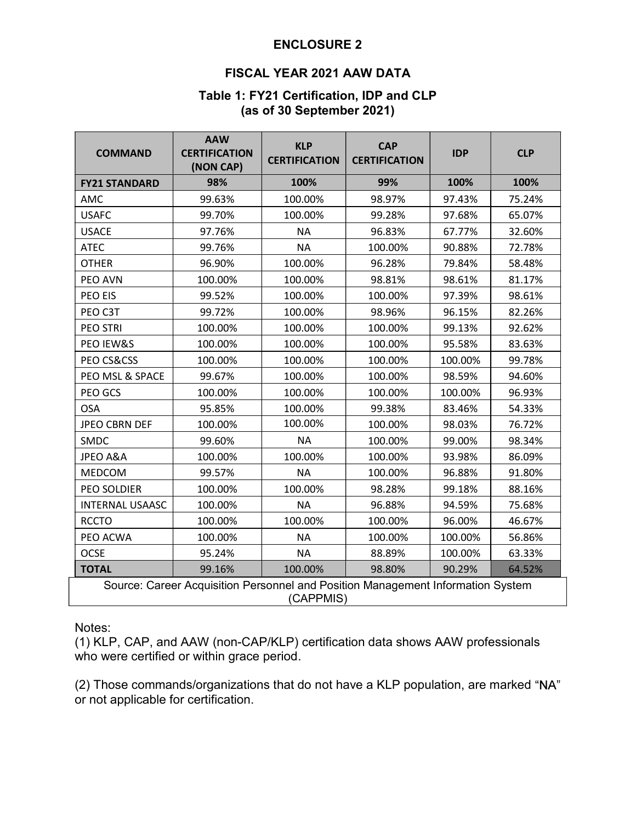# ENCLOSURE 2

# ENCLOSURE 2<br>FISCAL YEAR 2021 AAW DATA<br>e 1: FY21 Certification, IDP and CLP<br>(as of 30 September 2021) (as of 30 September 2021)

|                        |                                                 | <b>ENCLOSURE 2</b><br><b>FISCAL YEAR 2021 AAW DATA</b> |                                          |                   |            |  |  |  |  |
|------------------------|-------------------------------------------------|--------------------------------------------------------|------------------------------------------|-------------------|------------|--|--|--|--|
|                        |                                                 | (as of 30 September 2021)                              | Table 1: FY21 Certification, IDP and CLP |                   |            |  |  |  |  |
| <b>COMMAND</b>         | <b>AAW</b><br><b>CERTIFICATION</b><br>(NON CAP) | <b>KLP</b><br><b>CERTIFICATION</b>                     | <b>CAP</b><br><b>CERTIFICATION</b>       | <b>IDP</b>        | <b>CLP</b> |  |  |  |  |
| <b>FY21 STANDARD</b>   | 98%                                             | 100%                                                   | 99%                                      | 100%              | 100%       |  |  |  |  |
| AMC                    | 99.63%                                          | 100.00%                                                | 98.97%                                   | 97.43%            | 75.24%     |  |  |  |  |
| <b>USAFC</b>           | 99.70%                                          | 100.00%                                                | 99.28%                                   | 97.68%            | 65.07%     |  |  |  |  |
| <b>USACE</b>           | 97.76%                                          | <b>NA</b>                                              | 96.83%                                   | 67.77%            | 32.60%     |  |  |  |  |
| <b>ATEC</b>            | 99.76%                                          | <b>NA</b>                                              | 100.00%                                  | 90.88%            | 72.78%     |  |  |  |  |
| <b>OTHER</b>           | 96.90%                                          | 100.00%                                                | 96.28%                                   | 79.84%            | 58.48%     |  |  |  |  |
| PEO AVN                | 100.00%                                         | 100.00%                                                | 98.81%                                   | 98.61%            | 81.17%     |  |  |  |  |
| PEO EIS                | 99.52%                                          | 100.00%                                                | 100.00%                                  | 97.39%            | 98.61%     |  |  |  |  |
| PEO C3T                | 99.72%                                          | 100.00%                                                | 98.96%                                   | 96.15%            | 82.26%     |  |  |  |  |
| PEO STRI               | 100.00%                                         | 100.00%                                                | 100.00%                                  | 99.13%            | 92.62%     |  |  |  |  |
| PEO IEW&S              | 100.00%                                         | 100.00%                                                | 100.00%                                  | 95.58%            | 83.63%     |  |  |  |  |
| PEO CS&CSS             | 100.00%                                         | 100.00%                                                | 100.00%                                  | 100.00%           | 99.78%     |  |  |  |  |
| PEO MSL & SPACE        | 99.67%                                          | 100.00%                                                | 100.00%                                  | 98.59%            | 94.60%     |  |  |  |  |
| PEO GCS                | 100.00%                                         | 100.00%                                                | 100.00%                                  | 100.00%           | 96.93%     |  |  |  |  |
| <b>OSA</b>             | 95.85%                                          | 100.00%                                                | 99.38%                                   | 83.46%            | 54.33%     |  |  |  |  |
| <b>JPEO CBRN DEF</b>   | 100.00%                                         | 100.00%                                                | 100.00%                                  | 98.03%            | 76.72%     |  |  |  |  |
| SMDC                   | 99.60%                                          | <b>NA</b>                                              | 100.00%                                  | 99.00%            | 98.34%     |  |  |  |  |
| JPEO A&A               | 100.00%                                         | 100.00%                                                | 100.00%                                  | 93.98%            | 86.09%     |  |  |  |  |
| <b>MEDCOM</b>          | 99.57%                                          | <b>NA</b>                                              | 100.00%                                  | 96.88%            | 91.80%     |  |  |  |  |
| PEO SOLDIER            | 100.00%                                         | 100.00%                                                | 98.28%                                   | 99.18%            | 88.16%     |  |  |  |  |
| <b>INTERNAL USAASC</b> | 100.00%                                         | <b>NA</b>                                              | 96.88%                                   | 94.59%            | 75.68%     |  |  |  |  |
| <b>RCCTO</b>           | 100.00%                                         | 100.00%                                                | 100.00%                                  | 96.00%            | 46.67%     |  |  |  |  |
| PEO ACWA               | 100.00%                                         | NА                                                     | 100.00%                                  | 100.00%           | 56.86%     |  |  |  |  |
| OCSE<br><b>TOTAL</b>   | 95.24%                                          | <b>NA</b><br>100.00%                                   | 88.89%<br>98.80%                         | 100.00%<br>90.29% | 63.33%     |  |  |  |  |
|                        | 99.16%                                          |                                                        |                                          |                   | 64.52%     |  |  |  |  |